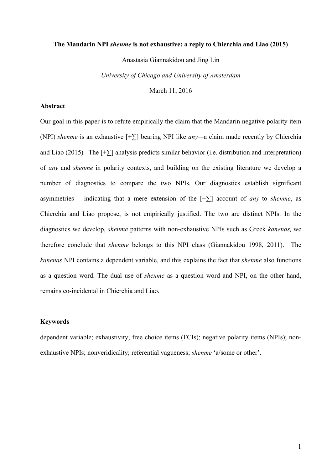### **The Mandarin NPI** *shenme* **is not exhaustive: a reply to Chierchia and Liao (2015)**

Anastasia Giannakidou and Jing Lin

*University of Chicago and University of Amsterdam*

March 11, 2016

## **Abstract**

Our goal in this paper is to refute empirically the claim that the Mandarin negative polarity item (NPI) *shenme* is an exhaustive [+∑] bearing NPI like *any—*a claim made recently by Chierchia and Liao (2015). The  $[+\sum]$  analysis predicts similar behavior (i.e. distribution and interpretation) of *any* and *shenme* in polarity contexts, and building on the existing literature we develop a number of diagnostics to compare the two NPIs*.* Our diagnostics establish significant asymmetries – indicating that a mere extension of the  $[+ \Sigma]$  account of *any* to *shenme*, as Chierchia and Liao propose, is not empirically justified. The two are distinct NPIs. In the diagnostics we develop, *shenme* patterns with non-exhaustive NPIs such as Greek *kanenas,* we therefore conclude that *shenme* belongs to this NPI class (Giannakidou 1998, 2011). The *kanenas* NPI contains a dependent variable, and this explains the fact that *shenme* also functions as a question word. The dual use of *shenme* as a question word and NPI, on the other hand, remains co-incidental in Chierchia and Liao.

# **Keywords**

dependent variable; exhaustivity; free choice items (FCIs); negative polarity items (NPIs); nonexhaustive NPIs; nonveridicality; referential vagueness; *shenme* 'a/some or other'.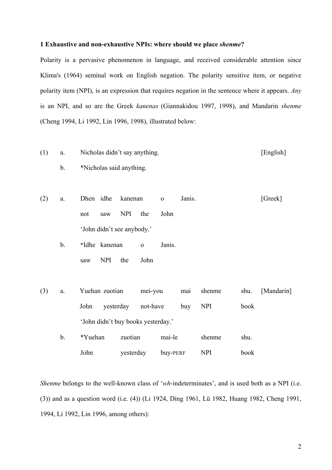### **1 Exhaustive and non-exhaustive NPIs: where should we place** *shenme***?**

Polarity is a pervasive phenomenon in language, and received considerable attention since Klima's (1964) seminal work on English negation. The polarity sensitive item, or negative polarity item (NPI), is an expression that requires negation in the sentence where it appears. *Any*  is an NPI, and so are the Greek *kanenas* (Giannakidou 1997, 1998), and Mandarin *shenme* (Cheng 1994, Li 1992, Lin 1996, 1998), illustrated below:

- (1) a. Nicholas didn't say anything. [English]
	- b. \*Nicholas said anything.

(2) a. Dhen idhe kanenan o Janis. [Greek] not saw NPI the John 'John didn't see anybody.'

b. \*Idhe kanenan o Janis. saw NPI the John

(3) a. Yuehan zuotian mei-you mai shenme shu. [Mandarin] John yesterday not-have buy NPI book 'John didn't buy books yesterday.' b. \*Yuehan zuotian mai-le shenme shu.

John yesterday buy-PERF NPI book

*Shenme* belongs to the well-known class of '*wh*-indeterminates', and is used both as a NPI (i.e. (3)) and as a question word (i.e. (4)) (Li 1924, Ding 1961, Lü 1982, Huang 1982, Cheng 1991, 1994, Li 1992, Lin 1996, among others):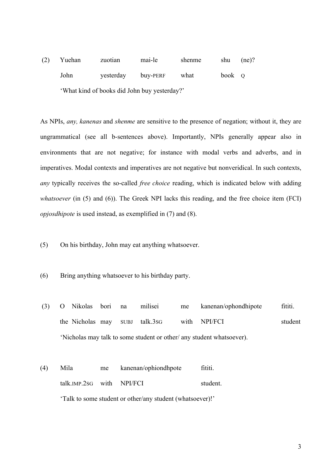(2) Yuehan zuotian mai-le shenme shu (ne)? John yesterday buy-PERF what book Q 'What kind of books did John buy yesterday?'

As NPIs, *any, kanenas* and *shenme* are sensitive to the presence of negation; without it, they are ungrammatical (see all b-sentences above). Importantly, NPIs generally appear also in environments that are not negative; for instance with modal verbs and adverbs, and in imperatives. Modal contexts and imperatives are not negative but nonveridical. In such contexts, *any* typically receives the so-called *free choice* reading, which is indicated below with adding *whatsoever* (in (5) and (6)). The Greek NPI lacks this reading, and the free choice item (FCI) *opjosdhipote* is used instead, as exemplified in (7) and (8).

- (5) On his birthday, John may eat anything whatsoever.
- (6) Bring anything whatsoever to his birthday party.
- (3) O Nikolas bori na milisei me kanenan/ophondhipote fititi. the Nicholas may SUBJ talk.3sG with NPI/FCI student 'Nicholas may talk to some student or other/ any student whatsoever).
- (4) Mila me kanenan/ophiondhpote fititi. talk IMP. 2sG with NPI/FCI student 'Talk to some student or other/any student (whatsoever)!'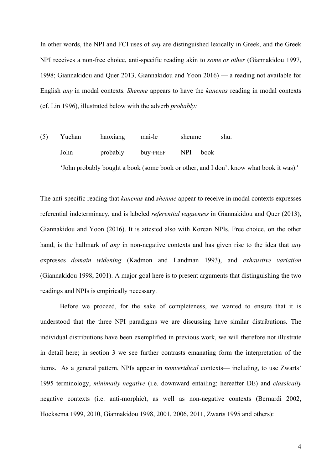In other words, the NPI and FCI uses of *any* are distinguished lexically in Greek, and the Greek NPI receives a non-free choice, anti-specific reading akin to *some or other* (Giannakidou 1997, 1998; Giannakidou and Quer 2013, Giannakidou and Yoon 2016) — a reading not available for English *any* in modal contexts*. Shenme* appears to have the *kanenas* reading in modal contexts (cf. Lin 1996), illustrated below with the adverb *probably:*

(5) Yuehan haoxiang mai-le shenme shu. John probably buy-PREF NPI book 'John probably bought a book (some book or other, and I don't know what book it was).'

The anti-specific reading that *kanenas* and *shenme* appear to receive in modal contexts expresses referential indeterminacy, and is labeled *referential vagueness* in Giannakidou and Quer (2013), Giannakidou and Yoon (2016). It is attested also with Korean NPIs. Free choice, on the other hand, is the hallmark of *any* in non-negative contexts and has given rise to the idea that *any*  expresses *domain widening* (Kadmon and Landman 1993), and *exhaustive variation*  (Giannakidou 1998, 2001). A major goal here is to present arguments that distinguishing the two readings and NPIs is empirically necessary.

Before we proceed, for the sake of completeness, we wanted to ensure that it is understood that the three NPI paradigms we are discussing have similar distributions. The individual distributions have been exemplified in previous work, we will therefore not illustrate in detail here; in section 3 we see further contrasts emanating form the interpretation of the items. As a general pattern, NPIs appear in *nonveridical* contexts— including, to use Zwarts' 1995 terminology, *minimally negative* (i.e. downward entailing; hereafter DE) and *classically* negative contexts (i.e. anti-morphic), as well as non-negative contexts (Bernardi 2002, Hoeksema 1999, 2010, Giannakidou 1998, 2001, 2006, 2011, Zwarts 1995 and others):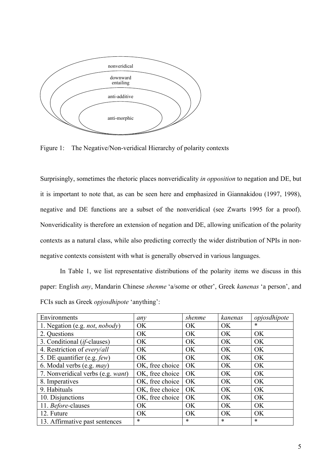

Figure 1: The Negative/Non-veridical Hierarchy of polarity contexts

Surprisingly, sometimes the rhetoric places nonveridicality *in opposition* to negation and DE, but it is important to note that, as can be seen here and emphasized in Giannakidou (1997, 1998), negative and DE functions are a subset of the nonveridical (see Zwarts 1995 for a proof). Nonveridicality is therefore an extension of negation and DE, allowing unification of the polarity contexts as a natural class, while also predicting correctly the wider distribution of NPIs in nonnegative contexts consistent with what is generally observed in various languages.

In Table 1, we list representative distributions of the polarity items we discuss in this paper: English *any*, Mandarin Chinese *shenme* 'a/some or other', Greek *kanenas* 'a person', and FCIs such as Greek *opjosdhipote* 'anything':

| Environments                         | any             | shenme    | kanenas   | opjosdhipote |
|--------------------------------------|-----------------|-----------|-----------|--------------|
| 1. Negation (e.g. not, nobody)       | <b>OK</b>       | OK        | OK        | $\ast$       |
| 2. Questions                         | OK              | OK        | <b>OK</b> | OK.          |
| 3. Conditional ( <i>if</i> -clauses) | OK              | OK        | OK        | OK           |
| 4. Restriction of every/all          | OK              | OK        | OK        | OK           |
| 5. DE quantifier (e.g. few)          | OK              | OK        | OK        | OK           |
| 6. Modal verbs (e.g. may)            | OK, free choice | <b>OK</b> | OK        | OK           |
| 7. Nonveridical verbs (e.g. want)    | OK, free choice | OK        | OK        | OK           |
| 8. Imperatives                       | OK, free choice | OK        | OK        | OK           |
| 9. Habituals                         | OK, free choice | OK        | OK        | OK           |
| 10. Disjunctions                     | OK, free choice | OK        | OK        | <b>OK</b>    |
| 11. Before-clauses                   | OK              | OK        | OK        | OK           |
| 12. Future                           | OK              | <b>OK</b> | OK        | OK           |
| 13. Affirmative past sentences       | $\ast$          | *         | $\ast$    | $\ast$       |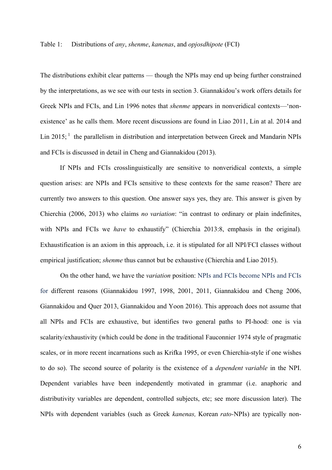### Table 1: Distributions of *any*, *shenme*, *kanenas*, and *opjosdhipote* (FCI)

The distributions exhibit clear patterns — though the NPIs may end up being further constrained by the interpretations, as we see with our tests in section 3. Giannakidou's work offers details for Greek NPIs and FCIs, and Lin 1996 notes that *shenme* appears in nonveridical contexts—'nonexistence' as he calls them. More recent discussions are found in Liao 2011, Lin at al. 2014 and Lin 2015;  $\frac{1}{1}$  the parallelism in distribution and interpretation between Greek and Mandarin NPIs and FCIs is discussed in detail in Cheng and Giannakidou (2013).

If NPIs and FCIs crosslinguistically are sensitive to nonveridical contexts, a simple question arises: are NPIs and FCIs sensitive to these contexts for the same reason? There are currently two answers to this question. One answer says yes, they are. This answer is given by Chierchia (2006, 2013) who claims *no variation*: "in contrast to ordinary or plain indefinites, with NPIs and FCIs we *have* to exhaustify" (Chierchia 2013:8, emphasis in the original). Exhaustification is an axiom in this approach, i.e. it is stipulated for all NPI/FCI classes without empirical justification; *shenme* thus cannot but be exhaustive (Chierchia and Liao 2015).

On the other hand, we have the *variation* position: NPIs and FCIs become NPIs and FCIs for different reasons (Giannakidou 1997, 1998, 2001, 2011, Giannakidou and Cheng 2006, Giannakidou and Quer 2013, Giannakidou and Yoon 2016). This approach does not assume that all NPIs and FCIs are exhaustive, but identifies two general paths to PI-hood: one is via scalarity/exhaustivity (which could be done in the traditional Fauconnier 1974 style of pragmatic scales, or in more recent incarnations such as Krifka 1995, or even Chierchia-style if one wishes to do so). The second source of polarity is the existence of a *dependent variable* in the NPI. Dependent variables have been independently motivated in grammar (i.e. anaphoric and distributivity variables are dependent, controlled subjects, etc; see more discussion later). The NPIs with dependent variables (such as Greek *kanenas,* Korean *rato-*NPIs) are typically non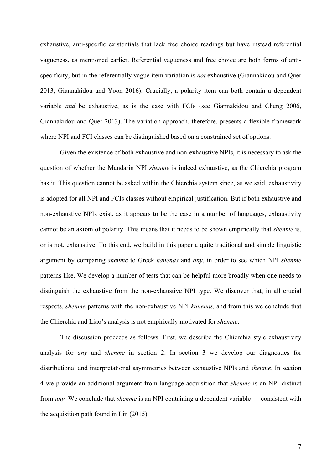exhaustive, anti-specific existentials that lack free choice readings but have instead referential vagueness, as mentioned earlier. Referential vagueness and free choice are both forms of antispecificity, but in the referentially vague item variation is *not* exhaustive (Giannakidou and Quer 2013, Giannakidou and Yoon 2016). Crucially, a polarity item can both contain a dependent variable *and* be exhaustive, as is the case with FCIs (see Giannakidou and Cheng 2006, Giannakidou and Quer 2013). The variation approach, therefore, presents a flexible framework where NPI and FCI classes can be distinguished based on a constrained set of options.

Given the existence of both exhaustive and non-exhaustive NPIs, it is necessary to ask the question of whether the Mandarin NPI *shenme* is indeed exhaustive, as the Chierchia program has it. This question cannot be asked within the Chierchia system since, as we said, exhaustivity is adopted for all NPI and FCIs classes without empirical justification. But if both exhaustive and non-exhaustive NPIs exist, as it appears to be the case in a number of languages, exhaustivity cannot be an axiom of polarity. This means that it needs to be shown empirically that *shenme* is, or is not, exhaustive. To this end, we build in this paper a quite traditional and simple linguistic argument by comparing *shenme* to Greek *kanenas* and *any*, in order to see which NPI *shenme* patterns like. We develop a number of tests that can be helpful more broadly when one needs to distinguish the exhaustive from the non-exhaustive NPI type. We discover that, in all crucial respects, *shenme* patterns with the non-exhaustive NPI *kanenas,* and from this we conclude that the Chierchia and Liao's analysis is not empirically motivated for *shenme*.

The discussion proceeds as follows. First, we describe the Chierchia style exhaustivity analysis for *any* and *shenme* in section 2. In section 3 we develop our diagnostics for distributional and interpretational asymmetries between exhaustive NPIs and *shenme*. In section 4 we provide an additional argument from language acquisition that *shenme* is an NPI distinct from *any.* We conclude that *shenme* is an NPI containing a dependent variable — consistent with the acquisition path found in Lin (2015).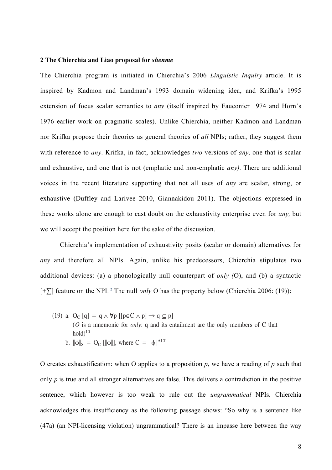# 2 The Chierchia and Liao proposal for *shenme*

The Chierchia program is initiated in Chierchia's 2006 *Linguistic Inquiry* article. It is inspired by Kadmon and Landman's 1993 domain widening idea, and Krifka's 1995 extension of focus scalar semantics to *any* (itself inspired by Fauconier 1974 and Horn's 1976 earlier work on pragmatic scales). Unlike Chierchia, neither Kadmon and Landman nor Krifka propose their theories as general theories of *all* NPIs; rather, they suggest them with reference to *any*. Krifka, in fact, acknowledges two versions of *any*, one that is scalar and exhaustive, and one that is not (emphatic and non-emphatic *any*). There are additional voices in the recent literature supporting that not all uses of *any* are scalar, strong, or exhaustive (Duffley and Larivee 2010, Giannakidou 2011). The objections expressed in these works alone are enough to cast doubt on the exhaustivity enterprise even for *any,* but we will accept the position here for the sake of the discussion. montant propose their theories !p p∈!many of your students complained! ALT ∧ p N  $\frac{1}{2}$  and the chough to cast doubt on the exhaustivity enterprise even

Chierchia's implementation of exhaustivity posits (scalar or domain) alternatives for *any* and therefore all NPIs. Again, unlike his predecessors, Chierchia stipulates two additional devices: (a) a phonologically null counterpart of *only* (O), and (b) a syntactic [+∑] feature on the NPI. <sup>2</sup> The null *only* O has the property below (Chierchia 2006: (19)): It is easy to see that (18a) is equivalent to (18b). The format in  $\mathcal{L}(\mathcal{A})$ 2006, building of the superintent and the system of the scalar of domain and the contract in  $\frac{1}{2}$ between scalar enrichment and adding a silent *only* to the basic meaning. In other words, it is as Putting all the term and the mass of the property velow (Chiefeina 2000,  $\epsilon$ 

(19) a. O<sub>C</sub> [q] = q  $\land \forall p$  [[p $\in C \land p$ ]  $\rightarrow q \subseteq p$ ] (*O* is a mnemonic for *only*: q and its entailment are the only members of C that  $hold<sup>10</sup>$ b.  $\|\phi\|_{S} = O_{C} [\|\phi\|]$ , where  $C = \|\phi\|^{ALT}$ 

O creates exhaustification: when O applies to a proposition  $p$ , we have a reading of  $p$  such that only *p* is true and all stronger alternatives are false. This delivers a contradiction in the positive sentence, which however is too weak to rule out the *ungrammatical* NPIs. Chierchia acknowledges this insufficiency as the following passage shows: "So why is a sentence like (47a) (an NPI-licensing violation) ungrammatical? There is an impasse here between the way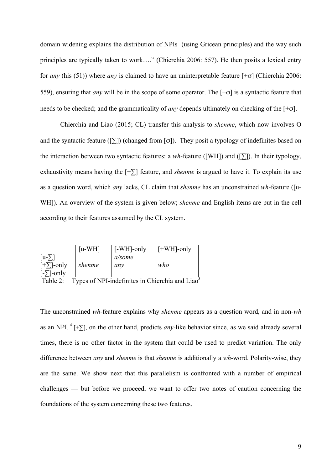domain widening explains the distribution of NPIs (using Gricean principles) and the way such principles are typically taken to work…." (Chierchia 2006: 557). He then posits a lexical entry for *any* (his (51)) where *any* is claimed to have an uninterpretable feature [+σ] (Chierchia 2006: 559), ensuring that *any* will be in the scope of some operator. The [+σ] is a syntactic feature that needs to be checked; and the grammaticality of *any* depends ultimately on checking of the [+σ].

Chierchia and Liao (2015; CL) transfer this analysis to *shenme*, which now involves O and the syntactic feature ( $[\Sigma]$ ) (changed from  $[\sigma]$ ). They posit a typology of indefinites based on the interaction between two syntactic features: a *wh*-feature ([WH]) and ([∑]). In their typology, exhaustivity means having the [+∑] feature, and *shenme* is argued to have it. To explain its use as a question word, which *any* lacks, CL claim that *shenme* has an unconstrained *wh*-feature ([u-WH]). An overview of the system is given below; *shenme* and English items are put in the cell according to their features assumed by the CL system.

|                         | [u-WH] | $[-WH]$ -only | $F+WH$ ]-only |
|-------------------------|--------|---------------|---------------|
| $[u-1]$                 |        | a/some        |               |
| $[+ \sum$ -only         | shenme | anv           | who           |
| -only<br>$\blacksquare$ |        |               |               |

Table 2: Types of NPI-indefinites in Chierchia and Liao<sup>3</sup>

The unconstrained *wh*-feature explains why *shenme* appears as a question word, and in non-*wh* as an NPI. <sup>4</sup> [+∑], on the other hand, predicts *any-*like behavior since, as we said already several times, there is no other factor in the system that could be used to predict variation. The only difference between *any* and *shenme* is that *shenme* is additionally a *wh*-word. Polarity-wise, they are the same. We show next that this parallelism is confronted with a number of empirical challenges — but before we proceed, we want to offer two notes of caution concerning the foundations of the system concerning these two features.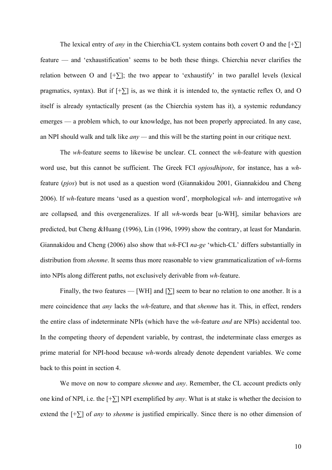The lexical entry of *any* in the Chierchia/CL system contains both covert O and the  $[+ \sum]$ feature — and 'exhaustification' seems to be both these things. Chierchia never clarifies the relation between O and  $[+]$ ; the two appear to 'exhaustify' in two parallel levels (lexical pragmatics, syntax). But if  $[+ \sum]$  is, as we think it is intended to, the syntactic reflex O, and O itself is already syntactically present (as the Chierchia system has it), a systemic redundancy emerges — a problem which, to our knowledge, has not been properly appreciated. In any case, an NPI should walk and talk like *any —* and this will be the starting point in our critique next.

The *wh*-feature seems to likewise be unclear. CL connect the *wh*-feature with question word use, but this cannot be sufficient. The Greek FCI *opjosdhipote*, for instance, has a *wh*feature (*pjos*) but is not used as a question word (Giannakidou 2001, Giannakidou and Cheng 2006). If *wh*-feature means 'used as a question word', morphological *wh*- and interrogative *wh* are collapsed*,* and this overgeneralizes. If all *wh*-words bear [u-WH], similar behaviors are predicted, but Cheng &Huang (1996), Lin (1996, 1999) show the contrary, at least for Mandarin. Giannakidou and Cheng (2006) also show that *wh*-FCI *na-ge* 'which-CL' differs substantially in distribution from *shenme*. It seems thus more reasonable to view grammaticalization of *wh*-forms into NPIs along different paths, not exclusively derivable from *wh-*feature.

Finally, the two features — [WH] and  $[\Sigma]$  seem to bear no relation to one another. It is a mere coincidence that *any* lacks the *wh*-feature, and that *shenme* has it. This, in effect, renders the entire class of indeterminate NPIs (which have the *wh*-feature *and* are NPIs) accidental too. In the competing theory of dependent variable, by contrast, the indeterminate class emerges as prime material for NPI-hood because *wh*-words already denote dependent variables. We come back to this point in section 4.

We move on now to compare *shenme* and *any*. Remember, the CL account predicts only one kind of NPI, i.e. the [+∑] NPI exemplified by *any*. What is at stake is whether the decision to extend the [+∑] of *any* to *shenme* is justified empirically. Since there is no other dimension of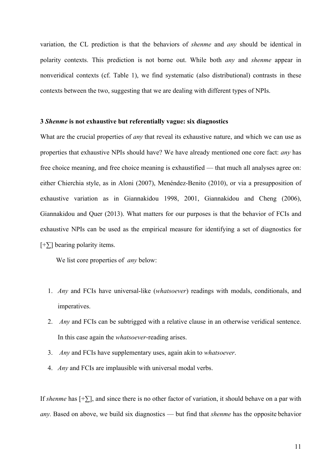variation, the CL prediction is that the behaviors of *shenme* and *any* should be identical in polarity contexts. This prediction is not borne out. While both *any* and *shenme* appear in nonveridical contexts (cf. Table 1), we find systematic (also distributional) contrasts in these contexts between the two, suggesting that we are dealing with different types of NPIs.

## **3** *Shenme* **is not exhaustive but referentially vague: six diagnostics**

What are the crucial properties of *any* that reveal its exhaustive nature, and which we can use as properties that exhaustive NPIs should have? We have already mentioned one core fact: *any* has free choice meaning, and free choice meaning is exhaustified — that much all analyses agree on: either Chierchia style, as in Aloni (2007), Menéndez-Benito (2010), or via a presupposition of exhaustive variation as in Giannakidou 1998, 2001, Giannakidou and Cheng (2006), Giannakidou and Quer (2013). What matters for our purposes is that the behavior of FCIs and exhaustive NPIs can be used as the empirical measure for identifying a set of diagnostics for [+∑] bearing polarity items.

We list core properties of *any* below:

- 1. *Any* and FCIs have universal-like (*whatsoever*) readings with modals, conditionals, and imperatives.
- 2. *Any* and FCIs can be subtrigged with a relative clause in an otherwise veridical sentence. In this case again the *whatsoever*-reading arises.
- 3. *Any* and FCIs have supplementary uses, again akin to *whatsoever*.
- 4. *Any* and FCIs are implausible with universal modal verbs.

If *shenme* has [+∑], and since there is no other factor of variation, it should behave on a par with *any.* Based on above, we build six diagnostics — but find that *shenme* has the opposite behavior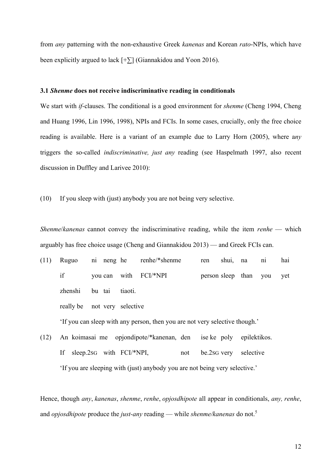from *any* patterning with the non-exhaustive Greek *kanenas* and Korean *rato*-NPIs, which have been explicitly argued to lack  $[+\Sigma]$  (Giannakidou and Yoon 2016).

### **3.1** *Shenme* **does not receive indiscriminative reading in conditionals**

We start with *if-*clauses. The conditional is a good environment for *shenme* (Cheng 1994, Cheng and Huang 1996, Lin 1996, 1998), NPIs and FCIs. In some cases, crucially, only the free choice reading is available. Here is a variant of an example due to Larry Horn (2005), where a*ny* triggers the so-called *indiscriminative, just any* reading (see Haspelmath 1997, also recent discussion in Duffley and Larivee 2010):

(10) If you sleep with (just) anybody you are not being very selective.

*Shenme*/*kanenas* cannot convey the indiscriminative reading, while the item *renhe* — which arguably has free choice usage (Cheng and Giannakidou 2013) — and Greek FCIs can.

- (11) Ruguo ni neng he renhe/\*shenme ren shui, na ni hai if you can with FCI/\*NPI person sleep than you yet zhenshi bu tai tiaoti. really be not very selective 'If you can sleep with any person, then you are not very selective though.'
- (12) An koimasai me opjondipote/\*kanenan, den ise ke poly epilektikos. If sleep.2sG with FCI/\*NPI, not be.2sG very selective 'If you are sleeping with (just) anybody you are not being very selective.'

Hence, though *any*, *kanenas*, *shenme*, *renhe*, *opjosdhipote* all appear in conditionals, *any, renhe*, and *opjosdhipote* produce the *just-any* reading — while *shenme/kanenas* do not.<sup>5</sup>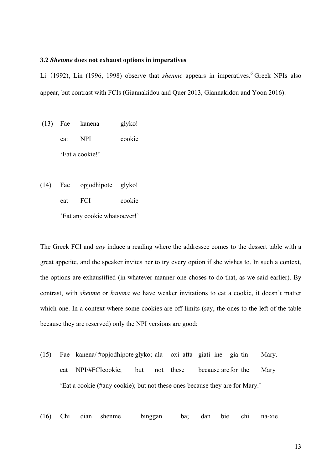### **3.2** *Shenme* **does not exhaust options in imperatives**

Li (1992), Lin (1996, 1998) observe that *shenme* appears in imperatives.<sup>6</sup> Greek NPIs also appear, but contrast with FCIs (Giannakidou and Quer 2013, Giannakidou and Yoon 2016):

(13) Fae kanena glyko! eat NPI cookie 'Eat a cookie!'

(14) Fae opjodhipote glyko! eat FCI cookie 'Eat any cookie whatsoever!'

The Greek FCI and *any* induce a reading where the addressee comes to the dessert table with a great appetite, and the speaker invites her to try every option if she wishes to. In such a context, the options are exhaustified (in whatever manner one choses to do that, as we said earlier). By contrast, with *shenme* or *kanena* we have weaker invitations to eat a cookie, it doesn't matter which one. In a context where some cookies are off limits (say, the ones to the left of the table because they are reserved) only the NPI versions are good:

- (15) Fae kanena/ #opjodhipote glyko; ala oxi afta giati ine gia tin Mary. eat NPI/#FCIcookie; but not these because arefor the Mary 'Eat a cookie (#any cookie); but not these ones because they are for Mary.'
- (16) Chi dian shenme binggan ba; dan bie chi na-xie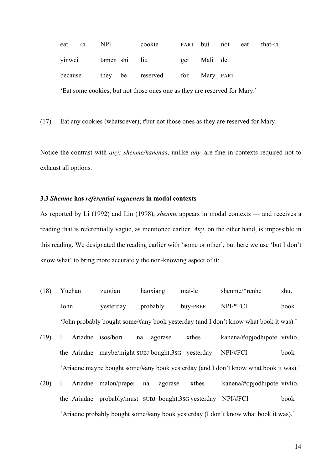| eat CL  | NPI           | cookie                                                                    |              | PART but not eat | that-CL |
|---------|---------------|---------------------------------------------------------------------------|--------------|------------------|---------|
| yinwei  | tamen shi liu |                                                                           | gei Mali de. |                  |         |
| because |               | they be reserved for Mary PART                                            |              |                  |         |
|         |               | 'Eat some cookies; but not those ones one as they are reserved for Mary.' |              |                  |         |

(17) Eat any cookies (whatsoever); #but not those ones as they are reserved for Mary.

Notice the contrast with *any: shenme/kanenas*, unlike *any,* are fine in contexts required not to exhaust all options.

# **3.3** *Shenme* **has** *referential vagueness* **in modal contexts**

As reported by Li (1992) and Lin (1998), *shenme* appears in modal contexts — and receives a reading that is referentially vague, as mentioned earlier. *Any*, on the other hand, is impossible in this reading. We designated the reading earlier with 'some or other', but here we use 'but I don't know what' to bring more accurately the non-knowing aspect of it:

- (18) Yuehan zuotian haoxiang mai-le shenme/\*renhe shu. John yesterday probably buy-PREF NPI/\*FCI book 'John probably bought some/#any book yesterday (and I don't know what book it was).'
- (19) I Ariadne isos/bori na agorase xthes kanena/#opjodhipote vivlio. the Ariadne maybe/might SUBJ bought.3SG yesterday NPI/#FCI book 'Ariadne maybe bought some/#any book yesterday (and I don't know what book it was).'
- (20) I Ariadne malon/prepei na agorase xthes kanena/#opjodhipote vivlio. the Ariadne probably/must SUBJ bought.3SG yesterday NPI/#FCI book 'Ariadne probably bought some/#any book yesterday (I don't know what book it was).'

14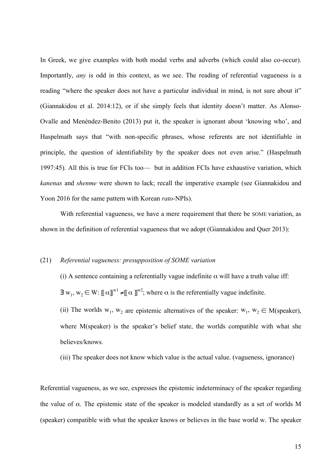In Greek, we give examples with both modal verbs and adverbs (which could also co-occur). Importantly, *any* is odd in this context, as we see. The reading of referential vagueness is a reading "where the speaker does not have a particular individual in mind, is not sure about it" (Giannakidou et al. 2014:12), or if she simply feels that identity doesn't matter. As Alonso-Ovalle and Menéndez-Benito (2013) put it, the speaker is ignorant about 'knowing who', and Haspelmath says that "with non-specific phrases, whose referents are not identifiable in principle, the question of identifiability by the speaker does not even arise." (Haspelmath 1997:45). All this is true for FCIs too— but in addition FCIs have exhaustive variation, which *kanenas* and *shenme* were shown to lack; recall the imperative example (see Giannakidou and Yoon 2016 for the same pattern with Korean *rato*-NPIs).

With referential vagueness, we have a mere requirement that there be SOME variation, as shown in the definition of referential vagueness that we adopt (Giannakidou and Quer 2013):

## (21) *Referential vagueness: presupposition of SOME variation*

(i) A sentence containing a referentially vague indefinite  $\alpha$  will have a truth value iff:  $\exists w_1, w_2 \in W: [\![\alpha]\!]^{w_1} \neq [\![\alpha]\!]^{w_2}$ ; where  $\alpha$  is the referentially vague indefinite.

(ii) The worlds  $w_1$ ,  $w_2$  are epistemic alternatives of the speaker:  $w_1$ ,  $w_2 \in M$ (speaker), where M(speaker) is the speaker's belief state, the worlds compatible with what she believes/knows.

(iii) The speaker does not know which value is the actual value. (vagueness, ignorance)

Referential vagueness, as we see, expresses the epistemic indeterminacy of the speaker regarding the value of  $\alpha$ . The epistemic state of the speaker is modeled standardly as a set of worlds M (speaker) compatible with what the speaker knows or believes in the base world w. The speaker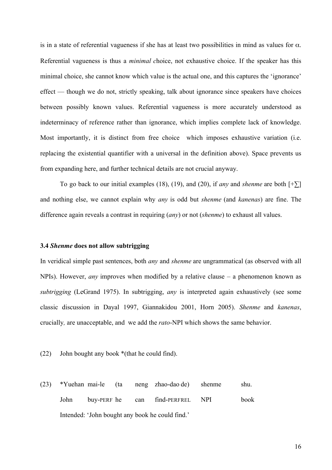is in a state of referential vagueness if she has at least two possibilities in mind as values for  $\alpha$ . Referential vagueness is thus a *minimal c*hoice, not exhaustive choice. If the speaker has this minimal choice, she cannot know which value is the actual one, and this captures the 'ignorance' effect — though we do not, strictly speaking, talk about ignorance since speakers have choices between possibly known values. Referential vagueness is more accurately understood as indeterminacy of reference rather than ignorance, which implies complete lack of knowledge. Most importantly, it is distinct from free choice which imposes exhaustive variation (i.e. replacing the existential quantifier with a universal in the definition above). Space prevents us from expanding here, and further technical details are not crucial anyway.

To go back to our initial examples (18), (19), and (20), if *any* and *shenme* are both  $[+ \sum]$ and nothing else, we cannot explain why *any* is odd but *shenme* (and *kanenas*) are fine. The difference again reveals a contrast in requiring (*any*) or not (*shenme*) to exhaust all values.

#### **3.4** *Shenme* **does not allow subtrigging**

In veridical simple past sentences, both *any* and *shenme* are ungrammatical (as observed with all NPIs). However, *any* improves when modified by a relative clause – a phenomenon known as *subtrigging* (LeGrand 1975). In subtrigging, *any* is interpreted again exhaustively (see some classic discussion in Dayal 1997, Giannakidou 2001, Horn 2005). *Shenme* and *kanenas*, crucially*,* are unacceptable, and we add the *rato*-NPI which shows the same behavior.

(22) John bought any book \*(that he could find).

(23) \*Yuehan mai-le (ta neng zhao-dao de) shenme shu. John buy-PERF he can find-PERFREL NPI book Intended: 'John bought any book he could find.'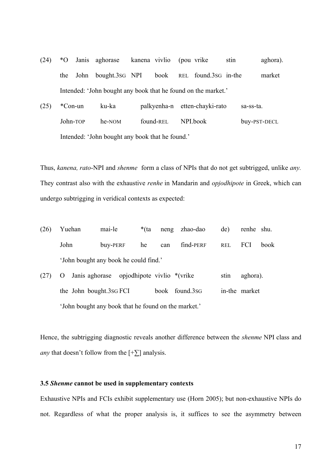- (24) \*O Janis aghorase kanena vivlio (pou vrike stin aghora). the John bought.3SG NPI book REL found.3SG in-the market Intended: 'John bought any book that he found on the market.'
- (25) \*Con-un ku-ka palkyenha-n etten-chayki-rato sa-ss-ta. John-TOP he-NOM found-REL NPI.book buy-PST-DECL Intended: 'John bought any book that he found.'

Thus, *kanena, rato*-NPI and *shenme* form a class of NPIs that do not get subtrigged, unlike *any.*  They contrast also with the exhaustive *renhe* in Mandarin and *opjodhipote* in Greek, which can undergo subtrigging in veridical contexts as expected:

- (26) Yuehan mai-le \*(ta neng zhao-dao de) renhe shu. John buy-PERF he can find-PERF REL FCI book 'John bought any book he could find.'
- (27) O Janis aghorase opjodhipote vivlio \*(vrike stin aghora). the John bought.3SG FCI book found.3SG in-the market 'John bought any book that he found on the market.'

Hence, the subtrigging diagnostic reveals another difference between the *shenme* NPI class and *any* that doesn't follow from the  $[+]$  analysis.

## **3.5** *Shenme* **cannot be used in supplementary contexts**

Exhaustive NPIs and FCIs exhibit supplementary use (Horn 2005); but non-exhaustive NPIs do not. Regardless of what the proper analysis is, it suffices to see the asymmetry between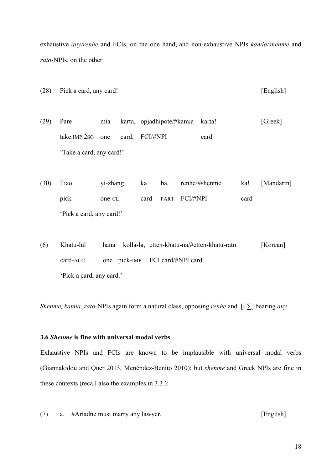exhaustive *any/renhe* and FCIs, on the one hand, and non-exhaustive NPIs *kamia/shenme* and *rato*-NPIs, on the other.

- (28) Pick a card, any card! [English]
- (29) Pare mia karta, opjadhipote/#kamia karta! [Greek] take.IMP.2SG one card, FCI/#NPI card 'Take a card, any card!'
- (30) Tiao yi-zhang ka ba, renhe/#shenme ka! [Mandarin] pick one-CL card PART FCI/#NPI card 'Pick a card, any card!'
- (6) Khatu-lul hana kolla-la, etten-khatu-na/#etten-khatu-rato. [Korean] card-ACC one pick-IMP FCI.card/#NPI.card 'Pick a card, any card.'

*Shenme, kamia, rato-*NPIs again form a natural class, opposing *renhe* and [+∑] bearing *any*.

# **3.6** *Shenme* **is fine with universal modal verbs**

Exhaustive NPIs and FCIs are known to be implausible with universal modal verbs (Giannakidou and Quer 2013, Menéndez-Benito 2010); but *shenme* and Greek NPIs are fine in these contexts (recall also the examples in 3.3.):

(7) a. #Ariadne must marry any lawyer. [English]

18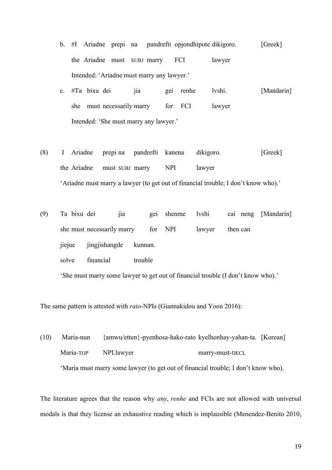- b. #I Ariadne prepi na pandrefti opjondhipote dikigoro. [Greek] the Ariadne must SUBJ marry FCI lawyer Intended: 'Ariadne must marry any lawyer.'
- c. #Ta bixu dei jia gei renhe lvshi. [Mandarin] she must necessarily marry for FCI lawyer Intended: 'She must marry any lawyer.'
- (8) I Ariadne prepi na pandrefti kanena dikigoro. [Greek] the Ariadne must SUBJ marry NPI lawyer 'Ariadne must marry a lawyer (to get out of financial trouble; I don't know who).'
- (9) Ta bixu dei jia gei shenme lvshi cai neng [Mandarin] she must necessarily marry for NPI lawyer then can jiejue jingjishangde kunnan. solve financial trouble

'She must marry some lawyer to get out of financial trouble (I don't know who).'

The same pattern is attested with *rato*-NPIs (Giannakidou and Yoon 2016):

(10) Maria-nun {amwu/etten}-pyenhosa-hako-rato kyelhonhay-yahan-ta. [Korean] Maria-TOP NPI.lawyer marry-must-DECL 'Maria must marry some lawyer (to get out of financial trouble; I don't know who).

The literature agrees that the reason why *any*, *renhe* and FCIs are not allowed with universal modals is that they license an exhaustive reading which is implausible (Menendez-Benito 2010,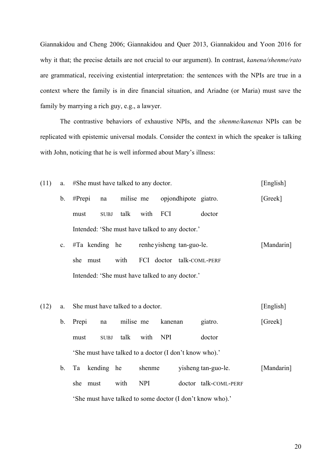Giannakidou and Cheng 2006; Giannakidou and Quer 2013, Giannakidou and Yoon 2016 for why it that; the precise details are not crucial to our argument). In contrast, *kanena/shenme/rato* are grammatical, receiving existential interpretation: the sentences with the NPIs are true in a context where the family is in dire financial situation, and Ariadne (or Maria) must save the family by marrying a rich guy, e.g., a lawyer.

The contrastive behaviors of exhaustive NPIs, and the *shenme/kanenas* NPIs can be replicated with epistemic universal modals. Consider the context in which the speaker is talking with John, noticing that he is well informed about Mary's illness:

- (11) a. #She must have talked to any doctor. [English] b. #Prepi na milise me opjondhipote giatro. [Greek] must SUBJ talk with FCI doctor Intended: 'She must have talked to any doctor.' c. #Ta kending he renhe yisheng tan-guo-le. [Mandarin] she must with FCI doctor talk-COML-PERF Intended: 'She must have talked to any doctor.'
	- b. Prepi na milise me kanenan giatro. [Greek] must SUBJ talk with NPI doctor 'She must have talked to a doctor (I don't know who).'

(12) a. She must have talked to a doctor. [English]

b. Ta kending he shenme yisheng tan-guo-le. [Mandarin] she must with NPI doctor talk-COML-PERF 'She must have talked to some doctor (I don't know who).'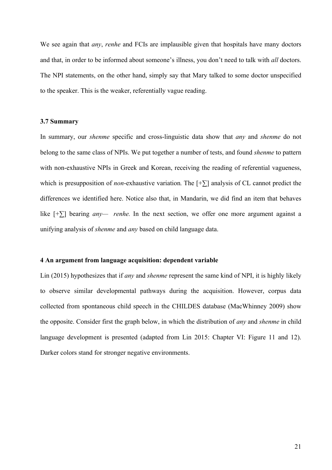We see again that *any*, *renhe* and FCIs are implausible given that hospitals have many doctors and that, in order to be informed about someone's illness, you don't need to talk with *all* doctors. The NPI statements, on the other hand, simply say that Mary talked to some doctor unspecified to the speaker. This is the weaker, referentially vague reading.

### **3.7 Summary**

In summary, our *shenme* specific and cross-linguistic data show that *any* and *shenme* do not belong to the same class of NPIs. We put together a number of tests, and found *shenme* to pattern with non-exhaustive NPIs in Greek and Korean, receiving the reading of referential vagueness, which is presupposition of *non*-exhaustive variation*.* The [+∑] analysis of CL cannot predict the differences we identified here. Notice also that, in Mandarin, we did find an item that behaves like [+∑] bearing *any— renhe.* In the next section, we offer one more argument against a unifying analysis of *shenme* and *any* based on child language data.

### **4 An argument from language acquisition: dependent variable**

Lin (2015) hypothesizes that if *any* and *shenme* represent the same kind of NPI, it is highly likely to observe similar developmental pathways during the acquisition. However, corpus data collected from spontaneous child speech in the CHILDES database (MacWhinney 2009) show the opposite. Consider first the graph below, in which the distribution of *any* and *shenme* in child language development is presented (adapted from Lin 2015: Chapter VI: Figure 11 and 12). Darker colors stand for stronger negative environments.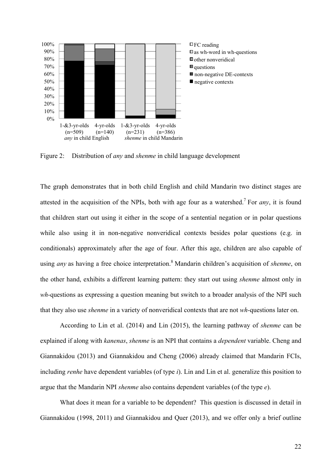

Figure 2: Distribution of *any* and *shenme* in child language development

The graph demonstrates that in both child English and child Mandarin two distinct stages are attested in the acquisition of the NPIs, both with age four as a watershed. <sup>7</sup> For *any*, it is found that children start out using it either in the scope of a sentential negation or in polar questions while also using it in non-negative nonveridical contexts besides polar questions (e.g. in conditionals) approximately after the age of four. After this age, children are also capable of using *any* as having a free choice interpretation.<sup>8</sup> Mandarin children's acquisition of *shenme*, on the other hand, exhibits a different learning pattern: they start out using *shenme* almost only in *wh*-questions as expressing a question meaning but switch to a broader analysis of the NPI such that they also use *shenme* in a variety of nonveridical contexts that are not *wh-*questions later on.

According to Lin et al. (2014) and Lin (2015), the learning pathway of *shenme* can be explained if along with *kanenas*, *shenme* is an NPI that contains a *dependent* variable. Cheng and Giannakidou (2013) and Giannakidou and Cheng (2006) already claimed that Mandarin FCIs, including *renhe* have dependent variables (of type *i*). Lin and Lin et al. generalize this position to argue that the Mandarin NPI *shenme* also contains dependent variables (of the type *e*).

What does it mean for a variable to be dependent? This question is discussed in detail in Giannakidou (1998, 2011) and Giannakidou and Quer (2013), and we offer only a brief outline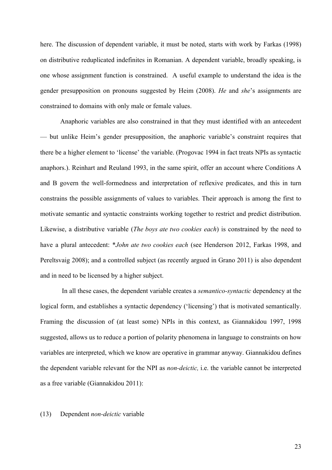here. The discussion of dependent variable, it must be noted, starts with work by Farkas (1998) on distributive reduplicated indefinites in Romanian. A dependent variable, broadly speaking, is one whose assignment function is constrained. A useful example to understand the idea is the gender presupposition on pronouns suggested by Heim (2008). *He* and *she*'s assignments are constrained to domains with only male or female values.

Anaphoric variables are also constrained in that they must identified with an antecedent — but unlike Heim's gender presupposition, the anaphoric variable's constraint requires that there be a higher element to 'license' the variable. (Progovac 1994 in fact treats NPIs as syntactic anaphors.). Reinhart and Reuland 1993, in the same spirit, offer an account where Conditions A and B govern the well-formedness and interpretation of reflexive predicates, and this in turn constrains the possible assignments of values to variables. Their approach is among the first to motivate semantic and syntactic constraints working together to restrict and predict distribution. Likewise, a distributive variable (*The boys ate two cookies each*) is constrained by the need to have a plural antecedent: \**John ate two cookies each* (see Henderson 2012, Farkas 1998, and Pereltsvaig 2008); and a controlled subject (as recently argued in Grano 2011) is also dependent and in need to be licensed by a higher subject.

In all these cases, the dependent variable creates a *semantico-syntactic* dependency at the logical form, and establishes a syntactic dependency ('licensing') that is motivated semantically. Framing the discussion of (at least some) NPIs in this context, as Giannakidou 1997, 1998 suggested, allows us to reduce a portion of polarity phenomena in language to constraints on how variables are interpreted, which we know are operative in grammar anyway. Giannakidou defines the dependent variable relevant for the NPI as *non-deictic,* i.e. the variable cannot be interpreted as a free variable (Giannakidou 2011):

### (13) Dependent *non-deictic* variable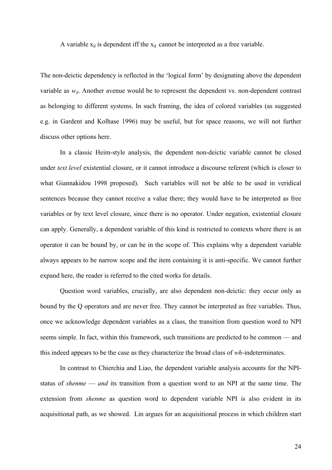A variable  $x_d$  is dependent iff the  $x_d$  cannot be interpreted as a free variable.

The non-deictic dependency is reflected in the 'logical form' by designating above the dependent variable as  $w_d$ . Another avenue would be to represent the dependent vs. non-dependent contrast as belonging to different systems. In such framing, the idea of colored variables (as suggested e.g. in Gardent and Kolhase 1996) may be useful, but for space reasons, we will not further discuss other options here.

In a classic Heim-style analysis, the dependent non-deictic variable cannot be closed under *text level* existential closure, or it cannot introduce a discourse referent (which is closer to what Giannakidou 1998 proposed). Such variables will not be able to be used in veridical sentences because they cannot receive a value there; they would have to be interpreted as free variables or by text level closure, since there is no operator. Under negation, existential closure can apply. Generally, a dependent variable of this kind is restricted to contexts where there is an operator it can be bound by, or can be in the scope of. This explains why a dependent variable always appears to be narrow scope and the item containing it is anti-specific. We cannot further expand here, the reader is referred to the cited works for details.

Question word variables, crucially, are also dependent non-deictic: they occur only as bound by the Q operators and are never free. They cannot be interpreted as free variables. Thus, once we acknowledge dependent variables as a class, the transition from question word to NPI seems simple. In fact, within this framework, such transitions are predicted to be common — and this indeed appears to be the case as they characterize the broad class of *wh*-indeterminates.

In contrast to Chierchia and Liao, the dependent variable analysis accounts for the NPIstatus of *shenme* — *and* its transition from a question word to an NPI at the same time. The extension from *shenme* as question word to dependent variable NPI is also evident in its acquisitional path, as we showed. Lin argues for an acquisitional process in which children start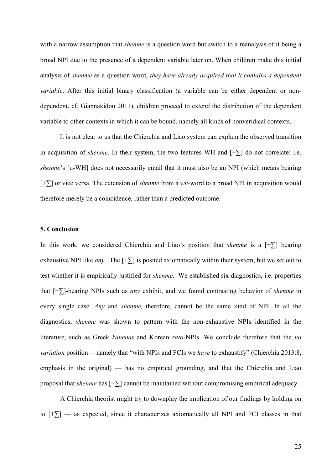with a narrow assumption that *shenme* is a question word but switch to a reanalysis of it being a broad NPI due to the presence of a dependent variable later on. When children make this initial analysis of *shenme* as a question word, *they have already acquired that it contains a dependent variable*. After this initial binary classification (a variable can be either dependent or nondependent, cf. Giannakidou 2011), children proceed to extend the distribution of the dependent variable to other contexts in which it can be bound, namely all kinds of nonveridical contexts.

It is not clear to us that the Chierchia and Liao system can explain the observed transition in acquisition of *shenme*. In their system, the two features WH and [+∑] do not correlate: i.e. *shenme*'s [u-WH] does not necessarily entail that it must also be an NPI (which means bearing [+∑] or vice versa. The extension of *shenme* from a *wh-*word to a broad NPI in acquisition would therefore merely be a coincidence, rather than a predicted outcome.

## **5. Conclusion**

In this work, we considered Chierchia and Liao's position that *shenme* is a [+∑] bearing exhaustive NPI like *any*. The  $[+\sum]$  is posited axiomatically within their system, but we set out to test whether it is empirically justified for *shenme*. We established six diagnostics, i.e. properties that [+∑]-bearing NPIs such as *any* exhibit, and we found contrasting behavior of *shenme* in every single case. *Any* and *shenme,* therefore, cannot be the same kind of NPI. In all the diagnostics, *shenme* was shown to pattern with the non-exhaustive NPIs identified in the literature, such as Greek *kanenas* and Korean *rato*-NPIs. We conclude therefore that the *no variation* position— namely that "with NPIs and FCIs we *have* to exhaustify" (Chierchia 2013:8, emphasis in the original) — has no empirical grounding, and that the Chierchia and Liao proposal that *shenme* has [+∑] cannot be maintained without compromising empirical adequacy.

A Chierchia theorist might try to downplay the implication of our findings by holding on to [+∑] — as expected, since it characterizes axiomatically all NPI and FCI classes in that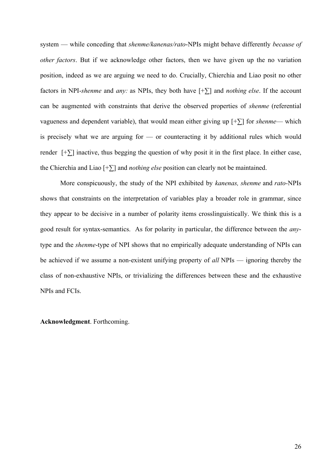system — while conceding that *shenme/kanenas/rato*-NPIs might behave differently *because of other factors*. But if we acknowledge other factors, then we have given up the no variation position, indeed as we are arguing we need to do. Crucially, Chierchia and Liao posit no other factors in NPI-*shenme* and *any:* as NPIs, they both have [+∑] and *nothing else*. If the account can be augmented with constraints that derive the observed properties of *shenme* (referential vagueness and dependent variable), that would mean either giving up [+∑] for *shenme*— which is precisely what we are arguing for — or counteracting it by additional rules which would render  $[+ \sum]$  inactive, thus begging the question of why posit it in the first place. In either case, the Chierchia and Liao [+∑] and *nothing else* position can clearly not be maintained.

More conspicuously, the study of the NPI exhibited by *kanenas, shenme* and *rato-*NPIs shows that constraints on the interpretation of variables play a broader role in grammar, since they appear to be decisive in a number of polarity items crosslinguistically. We think this is a good result for syntax-semantics. As for polarity in particular, the difference between the *any*type and the *shenme*-type of NPI shows that no empirically adequate understanding of NPIs can be achieved if we assume a non-existent unifying property of *all* NPIs — ignoring thereby the class of non-exhaustive NPIs, or trivializing the differences between these and the exhaustive NPIs and FCIs.

**Acknowledgment**. Forthcoming.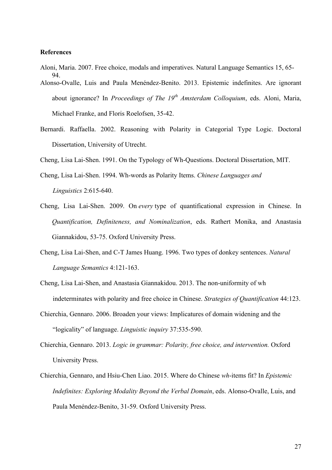# **References**

- Aloni, Maria. 2007. Free choice, modals and imperatives. Natural Language Semantics 15, 65- 94.
- Alonso-Ovalle, Luis and Paula Menéndez-Benito. 2013. Epistemic indefinites. Are ignorant about ignorance? In *Proceedings of The 19th Amsterdam Colloquium*, eds. Aloni, Maria, Michael Franke, and Floris Roelofsen, 35-42.
- Bernardi. Raffaella. 2002. Reasoning with Polarity in Categorial Type Logic. Doctoral Dissertation, University of Utrecht.

Cheng, Lisa Lai-Shen. 1991. On the Typology of Wh-Questions. Doctoral Dissertation, MIT.

- Cheng, Lisa Lai-Shen. 1994. Wh-words as Polarity Items. *Chinese Languages and Linguistics* 2:615-640.
- Cheng, Lisa Lai-Shen. 2009. On *every* type of quantificational expression in Chinese. In *Quantification, Definiteness, and Nominalization*, eds. Rathert Monika, and Anastasia Giannakidou, 53-75. Oxford University Press.
- Cheng, Lisa Lai-Shen, and C-T James Huang. 1996. Two types of donkey sentences. *Natural Language Semantics* 4:121-163.
- Cheng, Lisa Lai-Shen, and Anastasia Giannakidou. 2013. The non-uniformity of wh indeterminates with polarity and free choice in Chinese. *Strategies of Quantification* 44:123.
- Chierchia, Gennaro. 2006. Broaden your views: Implicatures of domain widening and the "logicality" of language. *Linguistic inquiry* 37:535-590.
- Chierchia, Gennaro. 2013. *Logic in grammar: Polarity, free choice, and intervention.* Oxford University Press.
- Chierchia, Gennaro, and Hsiu-Chen Liao. 2015. Where do Chinese *wh*-items fit? In *Epistemic Indefinites: Exploring Modality Beyond the Verbal Domain*, eds. Alonso-Ovalle, Luis, and Paula Menéndez-Benito, 31-59. Oxford University Press.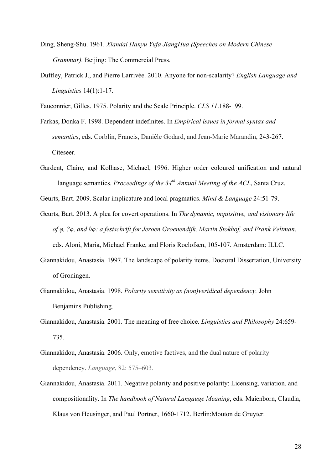- Ding, Sheng-Shu. 1961. *Xiandai Hanyu Yufa JiangHua (Speeches on Modern Chinese Grammar).* Beijing: The Commercial Press.
- Duffley, Patrick J., and Pierre Larrivée. 2010. Anyone for non-scalarity? *English Language and Linguistics* 14(1):1-17.

Fauconnier, Gilles. 1975. Polarity and the Scale Principle. *CLS 11*.188-199.

- Farkas, Donka F. 1998. Dependent indefinites. In *Empirical issues in formal syntax and semantics*, eds. Corblin, Francis, Danièle Godard, and Jean-Marie Marandin, 243-267. Citeseer.
- Gardent, Claire, and Kolhase, Michael, 1996. Higher order coloured unification and natural language semantics. *Proceedings of the 34th Annual Meeting of the ACL*, Santa Cruz.

Geurts, Bart. 2009. Scalar implicature and local pragmatics. *Mind & Language* 24:51-79.

- Geurts, Bart. 2013. A plea for covert operations. In *The dynamic, inquisitive, and visionary life of φ, ?φ, and ◊φ: a festschrift for Jeroen Groenendijk, Martin Stokhof, and Frank Veltman*, eds. Aloni, Maria, Michael Franke, and Floris Roelofsen, 105-107. Amsterdam: ILLC.
- Giannakidou, Anastasia. 1997. The landscape of polarity items. Doctoral Dissertation, University of Groningen.
- Giannakidou, Anastasia. 1998. *Polarity sensitivity as (non)veridical dependency.* John Benjamins Publishing.
- Giannakidou, Anastasia. 2001. The meaning of free choice. *Linguistics and Philosophy* 24:659- 735.
- Giannakidou, Anastasia. 2006. Only, emotive factives, and the dual nature of polarity dependency. *Language*, 82: 575–603.
- Giannakidou, Anastasia. 2011. Negative polarity and positive polarity: Licensing, variation, and compositionality. In *The handbook of Natural Langauge Meaning*, eds. Maienborn, Claudia, Klaus von Heusinger, and Paul Portner, 1660-1712. Berlin:Mouton de Gruyter.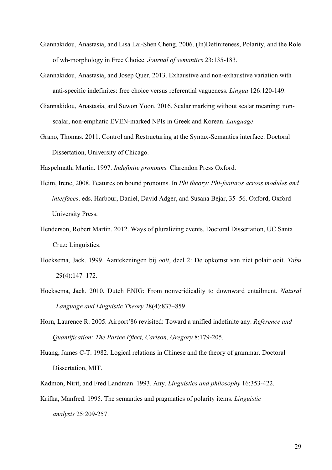- Giannakidou, Anastasia, and Lisa Lai-Shen Cheng. 2006. (In)Definiteness, Polarity, and the Role of wh-morphology in Free Choice. *Journal of semantics* 23:135-183.
- Giannakidou, Anastasia, and Josep Quer. 2013. Exhaustive and non-exhaustive variation with anti-specific indefinites: free choice versus referential vagueness. *Lingua* 126:120-149.
- Giannakidou, Anastasia, and Suwon Yoon. 2016. Scalar marking without scalar meaning: nonscalar, non-emphatic EVEN-marked NPIs in Greek and Korean. *Language*.
- Grano, Thomas. 2011. Control and Restructuring at the Syntax-Semantics interface. Doctoral Dissertation, University of Chicago.

Haspelmath, Martin. 1997. *Indefinite pronouns.* Clarendon Press Oxford.

- Heim, Irene, 2008. Features on bound pronouns. In *Phi theory: Phi-features across modules and interfaces*. eds. Harbour, Daniel, David Adger, and Susana Bejar, 35–56. Oxford, Oxford University Press.
- Henderson, Robert Martin. 2012. Ways of pluralizing events. Doctoral Dissertation, UC Santa Cruz: Linguistics.
- Hoeksema, Jack. 1999. Aantekeningen bij *ooit*, deel 2: De opkomst van niet polair ooit. *Tabu* 29(4):147–172.
- Hoeksema, Jack. 2010. Dutch ENIG: From nonveridicality to downward entailment. *Natural Language and Linguistic Theory* 28(4):837–859.
- Horn, Laurence R. 2005. Airport'86 revisited: Toward a unified indefinite any. *Reference and Quantification: The Partee Eflect, Carlson, Gregory* 8:179-205.
- Huang, James C-T. 1982. Logical relations in Chinese and the theory of grammar. Doctoral Dissertation, MIT.
- Kadmon, Nirit, and Fred Landman. 1993. Any. *Linguistics and philosophy* 16:353-422.
- Krifka, Manfred. 1995. The semantics and pragmatics of polarity items. *Linguistic analysis* 25:209-257.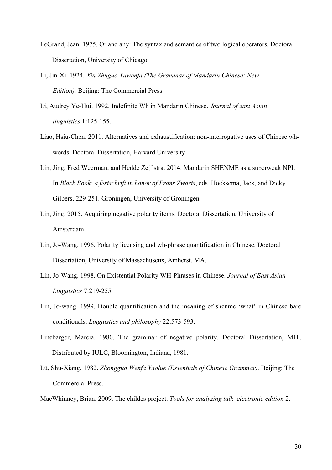- LeGrand, Jean. 1975. Or and any: The syntax and semantics of two logical operators. Doctoral Dissertation, University of Chicago.
- Li, Jin-Xi. 1924. *Xin Zhuguo Yuwenfa (The Grammar of Mandarin Chinese: New Edition).* Beijing: The Commercial Press.
- Li, Audrey Ye-Hui. 1992. Indefinite Wh in Mandarin Chinese. *Journal of east Asian linguistics* 1:125-155.
- Liao, Hsiu-Chen. 2011. Alternatives and exhaustification: non-interrogative uses of Chinese whwords. Doctoral Dissertation, Harvard University.
- Lin, Jing, Fred Weerman, and Hedde Zeijlstra. 2014. Mandarin SHENME as a superweak NPI. In *Black Book: a festschrift in honor of Frans Zwarts*, eds. Hoeksema, Jack, and Dicky Gilbers, 229-251. Groningen, University of Groningen.
- Lin, Jing. 2015. Acquiring negative polarity items. Doctoral Dissertation, University of Amsterdam.
- Lin, Jo-Wang. 1996. Polarity licensing and wh-phrase quantification in Chinese. Doctoral Dissertation, University of Massachusetts, Amherst, MA.
- Lin, Jo-Wang. 1998. On Existential Polarity WH-Phrases in Chinese. *Journal of East Asian Linguistics* 7:219-255.
- Lin, Jo-wang. 1999. Double quantification and the meaning of shenme 'what' in Chinese bare conditionals. *Linguistics and philosophy* 22:573-593.
- Linebarger, Marcia. 1980. The grammar of negative polarity. Doctoral Dissertation, MIT. Distributed by IULC, Bloomington, Indiana, 1981.
- Lü, Shu-Xiang. 1982. *Zhongguo Wenfa Yaolue (Essentials of Chinese Grammar).* Beijing: The Commercial Press.

MacWhinney, Brian. 2009. The childes project. *Tools for analyzing talk–electronic edition* 2.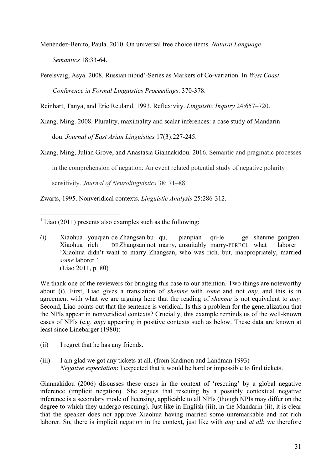Menéndez-Benito, Paula. 2010. On universal free choice items. *Natural Language Semantics* 18:33-64.

Perelsvaig, Asya. 2008. Russian nibud'-Series as Markers of Co-variation. In *West Coast Conference in Formal Linguistics Proceedings*. 370-378.

Reinhart, Tanya, and Eric Reuland. 1993. Reflexivity. *Linguistic Inquiry* 24:657–720.

Xiang, Ming. 2008. Plurality, maximality and scalar inferences: a case study of Mandarin

dou. *Journal of East Asian Linguistics* 17(3):227-245.

Xiang, Ming, Julian Grove, and Anastasia Giannakidou. 2016. Semantic and pragmatic processes

in the comprehension of negation: An event related potential study of negative polarity

sensitivity. *Journal of Neurolinguistics* 38: 71–88.

Zwarts, 1995. Nonveridical contexts. *Linguistic Analysis* 25:286-312.

 $1$  Liao (2011) presents also examples such as the following:

(i) Xiaohua youqian de Zhangsan bu qu, pianpian qu-le ge shenme gongren. Xiaohua rich DE Zhangsan not marry, unsuitably marry-PERFCL what laborer 'Xiaohua didn't want to marry Zhangsan, who was rich, but, inappropriately, married *some* laborer.' (Liao 2011, p. 80)

We thank one of the reviewers for bringing this case to our attention. Two things are noteworthy about (i). First, Liao gives a translation of *shenme* with *some* and not *any,* and this is in agreement with what we are arguing here that the reading of *shenme* is not equivalent to *any.*  Second, Liao points out that the sentence is veridical. Is this a problem for the generalization that the NPIs appear in nonveridical contexts? Crucially, this example reminds us of the well-known cases of NPIs (e.g. *any)* appearing in positive contexts such as below. These data are known at least since Linebarger (1980):

- (ii) I regret that he has any friends.
- (iii) I am glad we got any tickets at all. (from Kadmon and Landman 1993) *Negative expectation*: I expected that it would be hard or impossible to find tickets.

Giannakidou (2006) discusses these cases in the context of 'rescuing' by a global negative inference (implicit negation). She argues that rescuing by a possibly contextual negative inference is a secondary mode of licensing, applicable to all NPIs (though NPIs may differ on the degree to which they undergo rescuing). Just like in English (iii), in the Mandarin (ii), it is clear that the speaker does not approve Xiaohua having married some unremarkable and not rich laborer. So, there is implicit negation in the context, just like with *any* and *at all*; we therefore